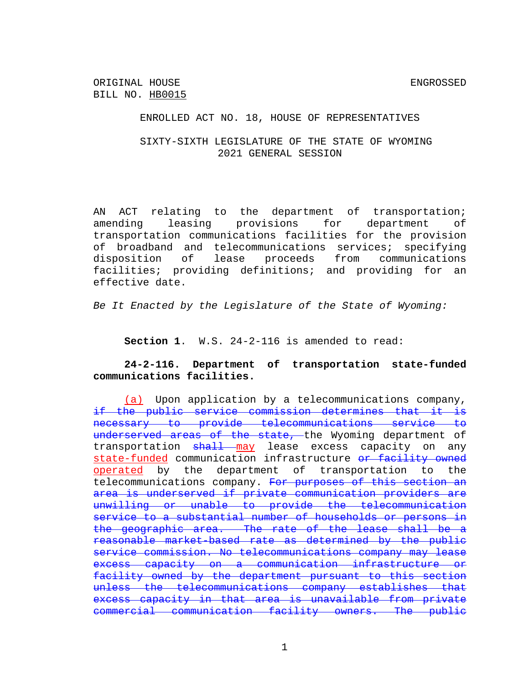ORIGINAL HOUSE ENGROSSED BILL NO. HB0015

ENROLLED ACT NO. 18, HOUSE OF REPRESENTATIVES

SIXTY-SIXTH LEGISLATURE OF THE STATE OF WYOMING 2021 GENERAL SESSION

AN ACT relating to the department of transportation; amending leasing provisions for department of transportation communications facilities for the provision of broadband and telecommunications services; specifying disposition of lease proceeds from communications facilities; providing definitions; and providing for an effective date.

*Be It Enacted by the Legislature of the State of Wyoming:*

**Section 1**. W.S. 24-2-116 is amended to read:

**24-2-116. Department of transportation state-funded communications facilities.**

(a) Upon application by a telecommunications company, if the public service commission determines that it is necessary to provide telecommunications service to underserved areas of the state, the Wyoming department of transportation shall may lease excess capacity on any state-funded communication infrastructure or facility owned operated by the department of transportation to the telecommunications company. For purposes of this section an area is underserved if private communication providers are unwilling or unable to provide the telecommunication service to a substantial number of households or persons in the geographic area. The rate of the lease shall be a reasonable market-based rate as determined by the public service commission. No telecommunications company may lease excess capacity on a communication infrastructure or facility owned by the department pursuant to this section unless the telecommunications company establishes that excess capacity in that area is unavailable from private commercial communication facility owners. The public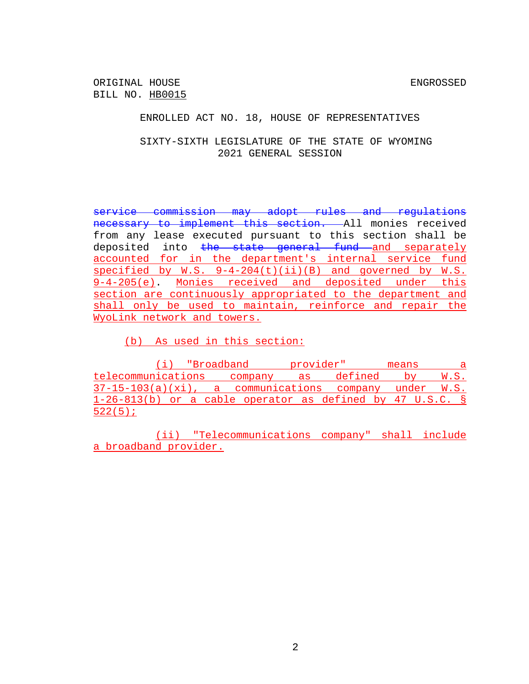ORIGINAL HOUSE SAND SENGROSSED SENGROSSED BILL NO. HB0015

ENROLLED ACT NO. 18, HOUSE OF REPRESENTATIVES

SIXTY-SIXTH LEGISLATURE OF THE STATE OF WYOMING 2021 GENERAL SESSION

service commission may adopt rules and regulations necessary to implement this section. All monies received from any lease executed pursuant to this section shall be deposited into the state general fund and separately accounted for in the department's internal service fund specified by  $W.S. 9-4-204(t)(ii)(B)$  and governed by  $W.S.$ 9-4-205(e). Monies received and deposited under this section are continuously appropriated to the department and shall only be used to maintain, reinforce and repair the WyoLink network and towers.

(b) As used in this section:

(i) "Broadband provider" means a telecommunications company as defined by W.S. 37-15-103(a)(xi), a communications company under W.S. 1-26-813(b) or a cable operator as defined by 47 U.S.C. § 522(5);

(ii) "Telecommunications company" shall include a broadband provider.